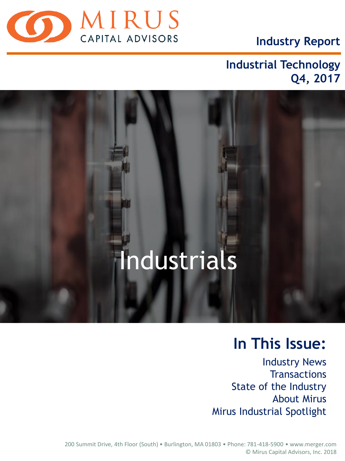

**Industry Report**

# **Industrial Technology Q4, 2017**

# Industrials

# **In This Issue:**

Industry News **Transactions** State of the Industry About Mirus Mirus Industrial Spotlight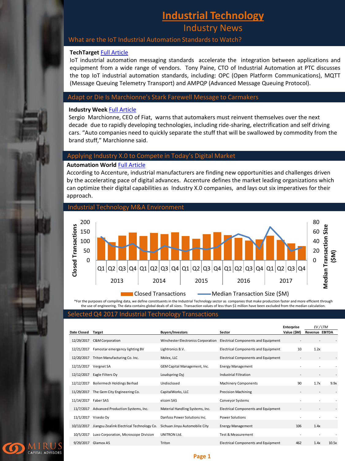# **Industrial Technology**

Industry News

#### What are the IoT Industrial Automation Standards to Watch?

#### **TechTarget** [Full Article](http://searcherp.techtarget.com/feature/What-are-the-IoT-industrial-automation-standards-to-watch)

IoT industrial automation messaging standards accelerate the integration between applications and equipment from a wide range of vendors. Tony Paine, CTO of Industrial Automation at PTC discusses the top IoT industrial automation standards, including: OPC (Open Platform Communications), MQTT (Message Queuing Telemetry Transport) and AMPQP (Advanced Message Queuing Protocol).

#### Adapt or Die Is Marchionne's Stark Farewell Message to Carmakers

#### **Industry Week** [Full Article](http://www.industryweek.com/leadership/adapt-or-die-marchionnes-stark-farewell-message-carmakers)

Sergio Marchionne, CEO of Fiat, warns that automakers must reinvent themselves over the next decade due to rapidly developing technologies, including ride-sharing, electrification and self driving cars. "Auto companies need to quickly separate the stuff that will be swallowed by commodity from the brand stuff," Marchionne said.

#### Applying Industry X.0 to Compete in Today's Digital Market

#### **Automation World** [Full Article](https://www.automationworld.com/article/topics/industrial-internet-things/applying-industry-x0-compete-todays-digital-market)

According to Accenture, industrial manufacturers are finding new opportunities and challenges driven by the accelerating pace of digital advances. Accenture defines the market leading organizations which can optimize their digital capabilities as Industry X.0 companies, and lays out six imperatives for their approach.



\*For the purposes of compiling data, we define constituents in the Industrial Technology sector as companies that make production faster and more efficient through the use of engineering. The data contains global deals of all sizes. Transaction values of less than \$1 million have been excluded from the median calculation.

#### Selected Q4 2017 Industrial Technology Transactions

|                    |                                           |                                    |                                            | <b>Enterprise</b> | EV/LTM                   |       |
|--------------------|-------------------------------------------|------------------------------------|--------------------------------------------|-------------------|--------------------------|-------|
| <b>Date Closed</b> | Target                                    | <b>Buyers/Investors</b>            | Sector                                     | Value (\$M)       | <b>Revenue EBITDA</b>    |       |
| 12/29/2017         | C&M Corporation                           | Winchester Electronics Corporation | Electrical Components and Equipment        |                   |                          |       |
| 12/21/2017         | Famostar emergency lighting BV            | Lightronics B.V.                   | <b>Electrical Components and Equipment</b> | 10                | 1.2x                     |       |
| 12/20/2017         | Triton Manufacturing Co. Inc.             | Molex, LLC                         | Electrical Components and Equipment        |                   |                          |       |
| 12/15/2017         | Vergnet SA                                | GEM Capital Management, Inc.       | <b>Energy Management</b>                   |                   |                          |       |
| 12/12/2017         | Eagle Filters Oy                          | Loudspring Oyj                     | <b>Industrial Filtration</b>               |                   |                          |       |
| 12/12/2017         | Boilermech Holdings Berhad                | Undisclosed                        | <b>Machinery Components</b>                | 90                | 1.7x                     | 9.9x  |
| 11/29/2017         | The Gem City Engineering Co.              | CapitalWorks, LLC                  | <b>Precision Machining</b>                 |                   | $\overline{\phantom{a}}$ |       |
| 11/14/2017         | Faber SAS                                 | elcom SAS                          | Conveyor Systems                           |                   |                          |       |
| 11/7/2017          | Advanced Production Systems, Inc.         | Material Handling Systems, Inc.    | Electrical Components and Equipment        |                   |                          |       |
| 11/1/2017          | Visedo Oy                                 | Danfoss Power Solutions Inc.       | <b>Power Solutions</b>                     |                   | ٠                        |       |
| 10/13/2017         | Jiangsu Zealink Electrical Technology Co. | Sichuan Jinyu Automobile City      | <b>Energy Management</b>                   | 106               | 1.4x                     |       |
| 10/5/2017          | Luxo Corporation, Microscope Division     | UNITRON Ltd.                       | <b>Test &amp; Measurement</b>              |                   |                          |       |
| 9/29/2017          | Glamox AS                                 | Triton                             | <b>Electrical Components and Equipment</b> | 462               | 1.4x                     | 10.5x |



#### **Page 1**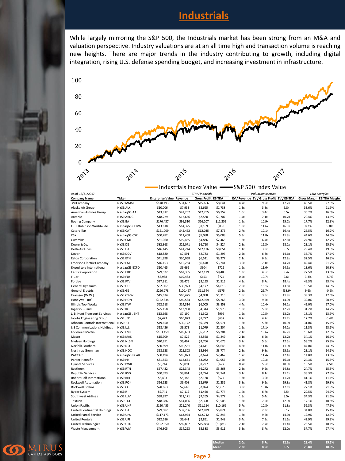# **Industrials**

While largely mirroring the S&P 500, the Industrials market has been strong from an M&A and valuation perspective. Industry valuations are at an all time high and transaction volume is reaching new heights. There are major trends in the industry contributing to growth, including digital integration, rising U.S. defense spending budget, and increasing investment in infrastructure.



|                                                |               |                                 | Industrials Index Value -S&P 500 Index Value |                            |                  |              |                                            |           |                                   |                    |  |
|------------------------------------------------|---------------|---------------------------------|----------------------------------------------|----------------------------|------------------|--------------|--------------------------------------------|-----------|-----------------------------------|--------------------|--|
| As of 12/31/2017                               |               |                                 |                                              | <b>LTM Financials</b>      |                  |              | <b>Valuation Metrics</b>                   |           |                                   | <b>LTM Margins</b> |  |
| <b>Company Name</b>                            | <b>Ticker</b> | <b>Enterprise Value Revenue</b> |                                              | <b>Gross Profit EBITDA</b> |                  |              | EV / Revenue EV / Gross Profit EV / EBITDA |           | <b>Gross Margin EBITDA Margin</b> |                    |  |
| 3M Company                                     | NYSE:MMM      | \$148,493                       | \$31,657                                     | \$15,656                   | \$8,641          | 4.7x         | 9.5x                                       | 17.2x     | 49.5%                             | 27.3%              |  |
| Alaska Air Group                               | NYSE:ALK      | \$10,006                        | \$7,933                                      | \$2,665                    | \$1,738          | 1.3x         | 3.8x                                       | 5.8x      | 33.6%                             | 21.9%              |  |
| American Airlines Group                        | NasdaqGS:AAL  | \$43,812                        | \$42,207                                     | \$12,755                   | \$6,757          | 1.0x         | 3.4x                                       | 6.5x      | 30.2%                             | 16.0%              |  |
| Arconic                                        | NYSE:ARNC     | \$18,229                        | \$12,656                                     | \$2,580                    | \$1,707          | 1.4x         | 7.1x                                       | 10.7x     | 20.4%                             | 13.5%              |  |
| <b>Boeing Company</b>                          | NYSE:BA       | \$176,437                       | \$91,310                                     | \$16,207                   | \$11,209         | 1.9x         | 10.9x                                      | 15.7x     | 17.7%                             | 12.3%              |  |
| C. H. Robinson Worldwide                       | NasdaqGS:CHRW | \$13,618                        | \$14,325                                     | \$1,169                    | \$838            | 1.0x         | 11.6x                                      | 16.3x     | 8.2%                              | 5.8%               |  |
| Caterpillar                                    | NYSE:CAT      | \$121,009                       | \$45,462                                     | \$12,035                   | \$7,375          | 2.7x         | 10.1x                                      | 16.4x     | 26.5%                             | 16.2%              |  |
| <b>CSX</b>                                     | NasdaqGS:CSX  | \$60,282                        | \$11,408                                     | \$5,088                    | \$5,088          | 5.3x         | 11.8x                                      | 11.8x     | 44.6%                             | 44.6%              |  |
| Cummins                                        | NYSE:CMI      | \$31,060                        | \$19,455                                     | \$4,836                    | \$2,463          | 1.6x         | 6.4x                                       | 12.6x     | 24.9%                             | 12.7%              |  |
| Deere & Co.                                    | NYSE:DE       | \$82,368                        | \$29,071                                     | \$6,710                    | \$4,524          | 2.8x         | 12.3x                                      | 18.2x     | 23.1%                             | 15.6%              |  |
| Delta Air Lines                                | NYSE:DAL      | \$46,145                        | \$41,244                                     | \$12,126                   | \$8,054          | 1.1x         | 3.8x                                       | 5.7x      | 29.4%                             | 19.5%              |  |
| Dover                                          | NYSE:DOV      | \$18,880                        | \$7,591                                      | \$2,783                    | \$1,297          | 2.5x         | 6.8x                                       | 14.6x     | 36.7%                             | 17.1%              |  |
| Eaton Corporation                              | NYSE:ETN      | \$41,998                        | \$20,058                                     | \$6,511                    | \$3,277          | 2.1x         | 6.5x                                       | 12.8x     | 32.5%                             | 16.3%              |  |
| <b>Emerson Electric Company</b>                | NYSE:EMR      | \$46,153                        | \$15,264                                     | \$6,478                    | \$3,241          | 3.0x         | 7.1x                                       | 14.2x     | 42.4%                             | 21.2%              |  |
| <b>Expeditors International</b>                | NasdaqGS:EXPD | \$10,465                        | \$6,662                                      | \$904                      | \$722            | 1.6x         | 11.6x                                      | 14.5x     | 13.6%                             | 10.8%              |  |
| <b>FedEx Corporation</b>                       | NYSE:FDX      | \$79,522                        | \$62,335                                     | \$17,129                   | \$8,485          | 1.3x         | 4.6x                                       | 9.4x      | 27.5%                             | 13.6%              |  |
| Fluor                                          | NYSE:FLR      | \$6,988                         | \$19,483                                     | \$653                      | \$724            | 0.4x         | 10.7x                                      | 9.6x      | 3.3%                              | 3.7%               |  |
| Fortive                                        | NYSE:FTV      | \$27,911                        | \$6,476                                      | \$3,193                    | \$1,515          | 4.3x         | 8.7x                                       | 18.4x     | 49.3%                             | 23.4%              |  |
| General Dynamics                               | NYSE:GD       | \$62,907                        | \$30,973                                     | \$4,177                    | \$4,618          | 2.0x         | 15.1x                                      | 13.6x     | 13.5%                             | 14.9%              |  |
| General Electric                               | NYSE:GE       | \$296,278                       | \$120,467                                    | \$11,544                   | $-5675$          | 2.5x         | 25.7x                                      | $-438.9x$ | 9.6%                              | $-0.6%$            |  |
| Grainger (W.W.)                                | NYSE:GWW      | \$15,634                        | \$10,425                                     | \$4,098                    | \$1,313          | 1.5x         | 3.8x                                       | 11.9x     | 39.3%                             | 12.6%              |  |
| Honeywell Int'l                                | NYSE:HON      | \$122,834                       | \$40,534                                     | \$12,959                   | \$8,266          | 3.0x         | 9.5x                                       | 14.9x     | 32.0%                             | 20.4%              |  |
| <b>Illinois Tool Works</b>                     | NYSE:ITW      | \$62,518                        | \$14,314                                     | \$6,005                    | \$3,858          | 4.4x         | 10.4x                                      | 16.2x     | 42.0%                             | 27.0%              |  |
| Ingersoll-Rand                                 | NYSE:IR       | \$25,158                        | \$13,938                                     | \$4,344                    | \$1,978          | 1.8x         | 5.8x                                       | 12.7x     | 31.2%                             | 14.2%              |  |
| J. B. Hunt Transport Services                  | NasdaqGS:JBHT | \$13,698                        | \$7,190                                      | \$1,302                    | \$999            | 1.9x         | 10.5x                                      | 13.7x     | 18.1%                             | 13.9%              |  |
| Jacobs Engineering Group                       | NYSE:JEC      | \$7,473                         | \$10,023                                     | \$1,777                    | \$637            | 0.7x         | 4.2x                                       | 11.7x     | 17.7%                             | 6.4%               |  |
| Johnson Controls International                 | NYSE:JCI      | \$49,650                        | \$30,172                                     | \$9,339                    | \$4,571          | 1.6x         | 5.3x                                       | 10.9x     | 31.0%                             | 15.1%              |  |
| L-3 Communications Holdings                    | NYSE:LLL      | \$18,436                        | \$9,573                                      | \$1,079                    | \$1,304          | 1.9x         | 17.1x                                      | 14.1x     | 11.3%                             | 13.6%              |  |
| Lockheed Martin                                | NYSE:LMT      | \$103,459                       | \$49,663                                     | \$5,282                    | \$6,204          | 2.1x         | 19.6x                                      | 16.7x     | 10.6%                             | 12.5%              |  |
| Masco                                          | NYSE:MAS      | \$15,909                        | \$7,529                                      | \$2,568                    | \$1,249          | 2.1x         | 6.2x                                       | 12.7x     | 34.1%                             | 16.6%              |  |
| Nielsen Holdings                               | NYSE:NLSN     | \$20,951                        | \$6,467                                      | \$3,766                    | \$1,675          | 3.2x         | 5.6x                                       | 12.5x     | 58.2%                             | 25.9%              |  |
| Norfolk Southern                               | NYSE:NSC      | \$50,899                        | \$10,551                                     | \$4,641                    | \$4,645          | 4.8x         | 11.0x                                      | 11.0x     | 44.0%                             | 44.0%              |  |
| Northrop Grumman                               | NYSE:NOC      | \$58,638                        | \$25,803                                     | \$5,954                    | \$3,774          | 2.3x         | 9.8x                                       | 15.5x     | 23.1%                             | 14.6%              |  |
| PACCAR                                         | NasdaqGS:PCAR | \$30,494                        | \$18,073                                     | \$2,674                    | \$2,462          | 1.7x         | 11.4x                                      | 12.4x     | 14.8%                             | 13.6%              |  |
| Parker-Hannifin                                | NYSE:PH       | \$31,553                        | \$12,651                                     | \$3,072                    | \$1,957          | 2.5x         | 10.3x                                      | 16.1x     | 24.3%                             | 15.5%              |  |
| Quanta Services                                | NYSE:PWR      | \$6,744                         | \$9,091                                      |                            |                  | 0.7x         | 5.5x                                       | 10.0x     | 13.5%                             | 7.5%               |  |
| Raytheon                                       | NYSE:RTN      | \$57,432                        | \$25,348                                     | \$1,227                    | \$677            | 2.3x         | 9.2x                                       | 14.8x     | 24.7%                             | 15.3%              |  |
|                                                |               | \$30,393                        |                                              | \$6,272                    | \$3,868          |              | 8.1x                                       | 11.1x     | 38.3%                             | 27.8%              |  |
| Republic Services<br>Robert Half International | NYSE:RSG      |                                 | \$9,861                                      | \$3,774                    | \$2,741<br>\$577 | 3.1x<br>1.3x | 3.0x                                       |           | 41.1%                             | 11.1%              |  |
|                                                | NYSE:RHI      | \$6,493                         | \$5,186                                      | \$2,130                    |                  |              |                                            | 11.2x     |                                   |                    |  |
| Rockwell Automation                            | NYSE:ROK      | \$24,523                        | \$6,408                                      | \$2,679                    | \$1,236          | 3.8x         | 9.2x                                       | 19.8x     | 41.8%                             | 19.3%              |  |
| Rockwell Collins                               | NYSE:COL      | \$28,663                        | \$7,640                                      | \$2,074                    | \$1,675          | 3.8x         | 13.8x                                      | 17.1x     | 27.1%                             | 21.9%              |  |
| Ryder System                                   | NYSE:R        | \$9,741                         | \$7,119                                      | \$1,460                    | \$1,774          | 1.4x         | 6.7x                                       | 5.5x      | 20.5%                             | 24.9%              |  |
| Southwest Airlines                             | NYSE:LUV      | \$38,897                        | \$21,171                                     | \$7,265                    | \$4,577          | 1.8x         | 5.4x                                       | 8.5x      | 34.3%                             | 21.6%              |  |
| Textron                                        | NYSE:TXT      | \$18,086                        | \$14,006                                     | \$2,398                    | \$1,506          | 1.3x         | 7.5x                                       | 12.0x     | 17.1%                             | 10.8%              |  |
| <b>Union Pacific</b>                           | NYSE:UNP      | \$120,455                       | \$21,240                                     | \$11,114                   | \$10,166         | 5.7x         | 10.8x                                      | 11.8x     | 52.3%                             | 47.9%              |  |
| <b>United Continental Holdings</b>             | NYSE:UAL      | \$29,582                        | \$37,736                                     | \$12,829                   | \$5,821          | 0.8x         | 2.3x                                       | 5.1x      | 34.0%                             | 15.4%              |  |
| <b>United Parcel Service</b>                   | NYSE:UPS      | \$117,173                       | \$63,974                                     | \$12,712                   | \$7,846          | 1.8x         | 9.2x                                       | 14.9x     | 19.9%                             | 12.3%              |  |
| <b>United Rentals</b>                          | NYSE:URI      | \$22,586                        | \$6,641                                      | \$2,851                    | \$1,948          | 3.4x         | 7.9x                                       | 11.6x     | 42.9%                             | 29.3%              |  |
| United Technologies                            | NYSE:UTX      | \$122,850                       | \$59,837                                     | \$15,884                   | \$10,812         | 2.1x         | 7.7x                                       | 11.4x     | 26.5%                             | 18.1%              |  |
| <b>Waste Management</b>                        | NYSE:WM       | \$46,805                        | \$14,293                                     | \$5,388                    | \$3,911          | 3.3x         | 8.7x                                       | 12.0x     | 37.7%                             | 27.4%              |  |



**Median 2.0x 8.7x 12.6x 28.4% 15.5% Mean 2.3x 8.9x 3.7x 28.8% 18.0%**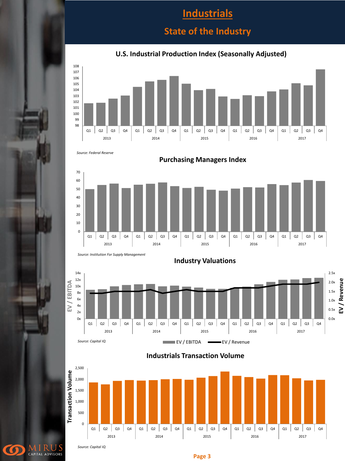# **Industrials**

## **State of the Industry**

#### **U.S. Industrial Production Index (Seasonally Adjusted)**



*Source: Federal Reserve*



**Purchasing Managers Index**



 $\bullet$ 

CAPITAL ADVISORS



**Industry Valuations**

**Industrials Transaction Volume**